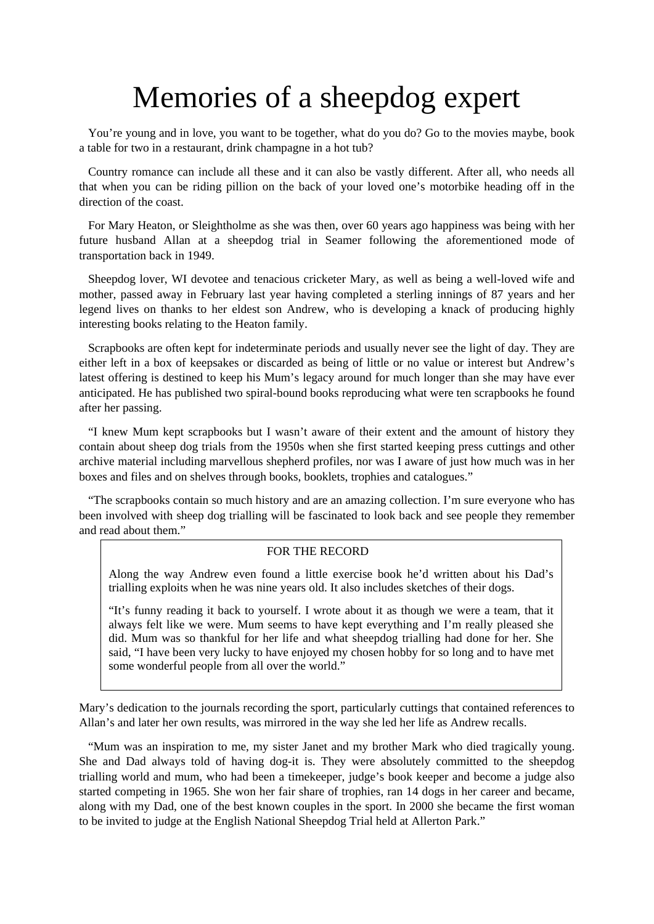## Memories of a sheepdog expert

 You're young and in love, you want to be together, what do you do? Go to the movies maybe, book a table for two in a restaurant, drink champagne in a hot tub?

 Country romance can include all these and it can also be vastly different. After all, who needs all that when you can be riding pillion on the back of your loved one's motorbike heading off in the direction of the coast.

 For Mary Heaton, or Sleightholme as she was then, over 60 years ago happiness was being with her future husband Allan at a sheepdog trial in Seamer following the aforementioned mode of transportation back in 1949.

 Sheepdog lover, WI devotee and tenacious cricketer Mary, as well as being a well-loved wife and mother, passed away in February last year having completed a sterling innings of 87 years and her legend lives on thanks to her eldest son Andrew, who is developing a knack of producing highly interesting books relating to the Heaton family.

 Scrapbooks are often kept for indeterminate periods and usually never see the light of day. They are either left in a box of keepsakes or discarded as being of little or no value or interest but Andrew's latest offering is destined to keep his Mum's legacy around for much longer than she may have ever anticipated. He has published two spiral-bound books reproducing what were ten scrapbooks he found after her passing.

 "I knew Mum kept scrapbooks but I wasn't aware of their extent and the amount of history they contain about sheep dog trials from the 1950s when she first started keeping press cuttings and other archive material including marvellous shepherd profiles, nor was I aware of just how much was in her boxes and files and on shelves through books, booklets, trophies and catalogues."

 "The scrapbooks contain so much history and are an amazing collection. I'm sure everyone who has been involved with sheep dog trialling will be fascinated to look back and see people they remember and read about them."

## FOR THE RECORD

Along the way Andrew even found a little exercise book he'd written about his Dad's trialling exploits when he was nine years old. It also includes sketches of their dogs.

"It's funny reading it back to yourself. I wrote about it as though we were a team, that it always felt like we were. Mum seems to have kept everything and I'm really pleased she did. Mum was so thankful for her life and what sheepdog trialling had done for her. She said, "I have been very lucky to have enjoyed my chosen hobby for so long and to have met some wonderful people from all over the world."

Mary's dedication to the journals recording the sport, particularly cuttings that contained references to Allan's and later her own results, was mirrored in the way she led her life as Andrew recalls.

 "Mum was an inspiration to me, my sister Janet and my brother Mark who died tragically young. She and Dad always told of having dog-it is. They were absolutely committed to the sheepdog trialling world and mum, who had been a timekeeper, judge's book keeper and become a judge also started competing in 1965. She won her fair share of trophies, ran 14 dogs in her career and became, along with my Dad, one of the best known couples in the sport. In 2000 she became the first woman to be invited to judge at the English National Sheepdog Trial held at Allerton Park."